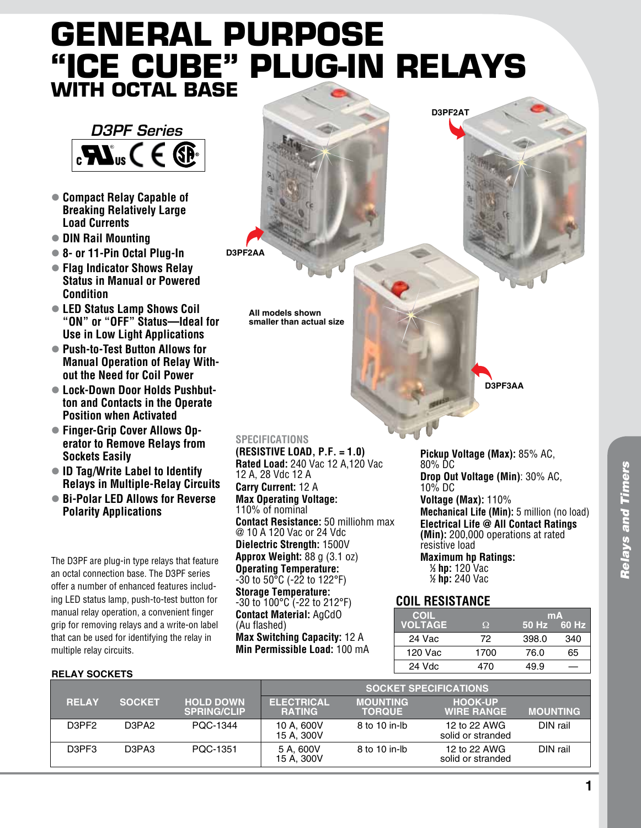# **General Purpose "Ice Cube" Plug-In Relays with Octal Base**

**D3PF2AA**

**All models shown smaller than actual size**



- l **Compact Relay Capable of Breaking Relatively Large Load Currents**
- l **DIN Rail Mounting**
- l **8- or 11-Pin Octal Plug-In**
- l **Flag Indicator Shows Relay Status in Manual or Powered Condition**
- LED Status Lamp Shows Coil **"ON" or "OFF" Status—Ideal for Use in Low Light Applications**
- Push-to-Test Button Allows for **Manual Operation of Relay Without the Need for Coil Power**
- Lock-Down Door Holds Pushbut**ton and Contacts in the Operate Position when Activated**
- Finger-Grip Cover Allows Op**erator to Remove Relays from Sockets Easily**
- **ID Tag/Write Label to Identify Relays in Multiple-Relay Circuits**
- Bi-Polar LED Allows for Reverse **Polarity Applications**

The D3PF are plug-in type relays that feature an octal connection base. The D3PF series offer a number of enhanced features including LED status lamp, push-to-test button for manual relay operation, a convenient finger grip for removing relays and a write-on label that can be used for identifying the relay in multiple relay circuits.

#### **Relay Sockets**

| <b>SPECIFICATIONS</b>                                |
|------------------------------------------------------|
| (RESISTIVE LOAD, $P.F. = 1.0$ )                      |
| Rated Load: 240 Vac 12 A,120 Vac                     |
| 12 A, 28 Vdc 12 A                                    |
| Carry Current: 12 A                                  |
| <b>Max Operating Voltage:</b>                        |
| 110% of nominal                                      |
| <b>Contact Resistance:</b> 50 milliohm max           |
| @ 10 A 120 Vac or 24 Vdc                             |
| Dielectric Strength: 1500V                           |
| <b>Approx Weight:</b> $88 g (3.1 oz)$                |
| <b>Operating Temperature:</b>                        |
| $-30$ to $50^{\circ}$ C ( $-22$ to 122 $^{\circ}$ F) |
| <b>Storage Temperature:</b>                          |
| $-30$ to 100°C ( $-22$ to 212°F)                     |
| <b>Contact Material: AgCdO</b>                       |
| (Au flashed)                                         |
| <b>Max Switching Capacity: 12 A</b>                  |
| Min Permissible Load: 100 mA                         |

**D3PF3AA**

**Pickup Voltage (Max):** 85% AC, 80% DC **Drop Out Voltage (Min)**: 30% AC, 10% DC **Voltage (Max):** 110% **Mechanical Life (Min):** 5 million (no load) **Electrical Life @ All Contact Ratings (Min):** 200,000 operations at rated resistive load **Maximum hp Ratings: 1 ⁄3 hp:** 120 Vac

**1 ⁄2 hp:** 240 Vac

**D3PF2AT**

## **Coil Resistance**

| <b>COIL</b>    |          | mA    |         |  |
|----------------|----------|-------|---------|--|
| <b>VOLTAGE</b> | $\Omega$ | 50 Hz | '60 Hz. |  |
| 24 Vac         | 72       | 398.0 | 340     |  |
| 120 Vac        | 1700     | 76.0  | 65      |  |
| 24 Vdc         | 470      | 49.9  |         |  |
|                |          |       |         |  |

|              |                                |                                        | <b>SOCKET SPECIFICATIONS</b>       |                                  |                                     |                 |
|--------------|--------------------------------|----------------------------------------|------------------------------------|----------------------------------|-------------------------------------|-----------------|
| <b>RELAY</b> | <b>SOCKET</b>                  | <b>HOLD DOWN</b><br><b>SPRING/CLIP</b> | <b>ELECTRICAL</b><br><b>RATING</b> | <b>MOUNTING</b><br><b>TORQUE</b> | <b>HOOK-UP</b><br><b>WIRE RANGE</b> | <b>MOUNTING</b> |
| D3PF2        | D3PA2                          | PQC-1344                               | 10 A. 600V<br>15 A. 300V           | 8 to 10 in-lb                    | 12 to 22 AWG<br>solid or stranded   | DIN rail        |
| D3PF3        | D <sub>3</sub> PA <sub>3</sub> | PQC-1351                               | 5 A, 600V<br>15 A, 300V            | 8 to 10 in-lb                    | 12 to 22 AWG<br>solid or stranded   | DIN rail        |